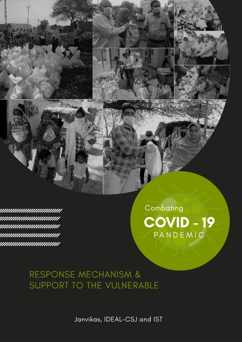



# RESPONSE MECHANISM & SUPPORT TO THE VULNERABLE

Janvikas, IDEAL-CSJ and IST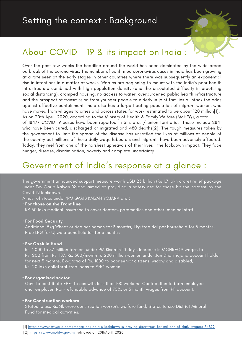

# About COVID - 19 & its impact on India :

Over the past few weeks the headline around the world has been dominated by the widespread outbreak of the corona virus. The number of confirmed coronavirus cases in India has been growing at a rate seen at the early stages in other countries where there was subsequently an exponential rise in infections in a matter of weeks. Worries are beginning to mount with the India's poor health infrastructure combined with high population density (and the associated difficulty in practising social distancing), cramped housing, no access to water, overburdened public health infrastructure and the prospect of transmission from younger people to elderly in joint families all stack the odds against effective containment. India also has a large floating population of migrant workers who have moved from villages to cities and across states for work, estimated to be about 120 million[1]. As on 20th April, 2020, according to the Ministry of Health & Family Welfare (MoHFW), a total of 18477 COVID-19 cases have been reported in 31 states / union territories. These include 2841 who have been cured, discharged or migrated and 480 deaths[2]. The tough measures taken by the government to limit the spread of the disease has unsettled the lives of millions of people of the country but millions of these daily wage labourers and migrants have been adversely affected. Today, they reel from one of the harshest upheavals of their lives : the lockdown impact. They face

hunger, disease, discrimination, poverty and complete uncertainty.

## Government of India's response at a glance :

The government announced support measure worth USD 23 billion (Rs 1.7 lakh crore) relief package under PM Garib Kalyan Yojana aimed at providing a safety net for those hit the hardest by the Covid-19 lockdown.

A host of steps under 'PM GARIB KALYAN YOJANA are :

• **For those on the Front line** RS.50 lakh medical insurance to cover doctors, paramedics and other medical staff.

#### • **For Food Security**

 Additional 5kg Wheat or rice per person for 3 months, 1 kg free dal per household for 3 months, Free LPG for Ujjwala beneficiaries for 3 months

• **For Cash in Hand** 

 Rs. 2000 to 87 million farmers under PM Kisan in 10 days, Increase in MGNREGS wages to Rs. 202 from Rs. 187, Rs. 500/month to 200 million women under Jan Dhan Yojana account holder for next 3 months, Ex-gratia of Rs. 1000 to poor senior citizens, widow and disabled, Rs. 20 lakh collateral-free loans to SHG women

#### **• For organised sector**

 Govt to contribute EPFs to cos with less than 100 workers- Contribution to both employee and employer, Non-refundable advance of 75%, or 3 month wages from PF account.

#### **• For Construction workers**

 States to use Rs.31k crore construction worker's welfare fund, States to use District Mineral Fund for medical activities.

[1] [https://www.trtworld.com/magazine/india-s-lockdown-is-proving-disastrous-for-millions-of-daily-wagers-34879](https://www.trtworld.com/magazine/india-s-lockdown-is-proving-disastrous-for-millions-of-daily-wagers-34879 )

[2]<https://www.mohfw.gov.in/> retrieved on 20thApril, 2020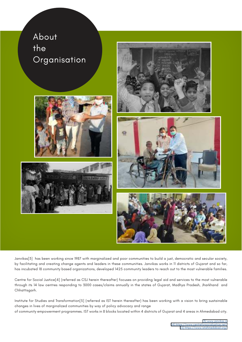

Janvikas[3] has been working since 1987 with marginalized and poor communities to build a just, democratic and secular society, by facilitating and creating change agents and leaders in these communities. Janvikas works in 11 districts of Gujarat and so far, has incubated 18 community based organizations, developed 1425 community leaders to reach out to the most vulnerable families.

Centre for Social Justice[4] (referred as CSJ herein thereafter) focuses on providing legal aid and services to the most vulnerable through its 14 law centres responding to 3000 cases/claims annually in the states of Gujarat, Madhya Pradesh, Jharkhand and Chhattisgarh.

Institute for Studies and Transformation[5] (referred as IST herein thereafter) has been working with a vision to bring sustainable changes in lives of marginalized communities by way of policy advocacy and range

of community empowerment programmes. IST works in 8 blocks located within 4 districts of Gujarat and 4 areas in Ahmedabad city.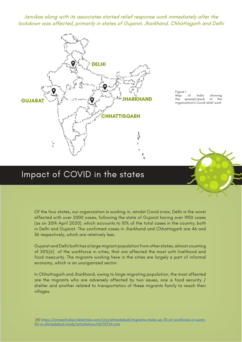Janvikas along with its associates started relief response work immediately after the lockdown was affected, primarily in states of Gujarat, Jharkhand, Chhattisgarh and Delhi



Figure 1<br>Map of Map of India showing<br>the spread/reach of the spread/reach organization's Covid relief work

### Impact of COVID in the states

Of the four states, our organization is working in, amidst Covid crisis, Delhi is the worst affected with over 2000 cases, following the state of Gujarat having over 1900 cases (as on 20th April 2020), which accounts to 10% of the total cases in the country, both in Delhi and Gujarat. The confirmed cases in Jharkhand and Chhattisgarh are 46 and 36 respectively, which are relatively less.

Gujarat and Delhi both has a large migrant population from other states, almost counting of 50%[6] of the workforce in cities, that are affected the most with livelihood and food insecurity. The migrants working here in the cities are largely a part of informal economy, which is an unorganized sector.

In Chhattisgarh and Jharkhand, owing to large migrating population, the most affected are the migrants who are adversely affected by two issues, one is food security / shelter and another related to transportation of these migrants family to reach their villages.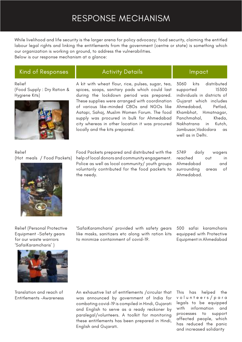## RESPONSE MECHANISM

While livelihood and life security is the larger arena for policy advocacy; food security, claiming the entitled labour legal rights and linking the entitlements from the government (centre or state) is something which our organization is working on ground, to address the vulnerabilities.

Below is our response mechanism at a glance:

### Kind of Responses **Activity Details** Impact

Relief (Food Supply : Dry Ration & Hygiene Kits)



A kit with wheat flour, rice, pulses, sugar, tea, spices, soaps, sanitary pads which could last during the lockdown period was prepared. These supplies were arranged with coordination of various like-minded CBOs and NGOs like Aatapi, Sahaj, Muslim Women Forum. The food supply was procured in bulk for Ahmedabad city whereas in other location it was procured locally and the kits prepared.

3060 kits distributed supported 15300 individuals in districts of Gujarat which includes Ahmedabad, Petlad, Khambhat, Himatnagar, Panchmahal, Kheda, Nakhatrana in Kutch, Jambusar,Vadodara as well as in Delhi.

Relief (Hot meals / Food Packets)



Food Packets prepared and distributed with the help of local donors and community engagement. Police as well as local community/ youth groups voluntarily contributed for the food packets to the needy.

5749 daily wagers reached out in Ahmedabad and surrounding areas of Ahmedabad.

Relief (Personal Protective Equipment -Safety gears for our waste warriors 'SafaiKaramcharis' )

'SafaiKaramcharis' provided with safety gears like masks, sanitizers etc along with ration kits to minimize containment of covid-19.

500 safai karamcharis equipped with Protective Equipment in Ahmedabad



Translation and reach of Entitlements -Awareness An exhaustive list of entitlements /circular that was announced by government of India for combating covid-19 is compiled in Hindi, Gujarati and English to serve as a ready reckoner by paralegal/volunteers. A toolkit for monitoring these entitlements has been prepared in Hindi, English and Gujarati.

This has helped the v o l u n t e e r s / p a r a legals to be equipped with information and processes to support affected people, which has reduced the panic and increased solidarity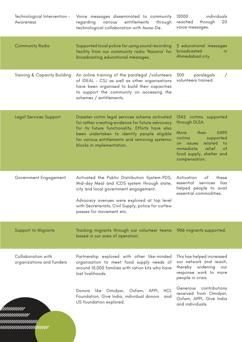| Technological Intervention -<br>Awareness       | Voice messages disseminated to community<br>entitlements<br>regarding<br>various<br>through<br>technological collaboration with Awaz-De.                                                                                                                                             | 10000<br>individuals<br>reached<br>20<br>through<br>voice messages.                                                                                                                                          |
|-------------------------------------------------|--------------------------------------------------------------------------------------------------------------------------------------------------------------------------------------------------------------------------------------------------------------------------------------|--------------------------------------------------------------------------------------------------------------------------------------------------------------------------------------------------------------|
| <b>Community Radio</b>                          | Supported local police for using sound recording<br>facility from our community radio 'Nazaria' for<br>broadcasting educational messages.                                                                                                                                            | 5 educational messages<br>broadcasted<br>in.<br>Ahmedabad city.                                                                                                                                              |
| Training & Capacity Building                    | An online training of the paralegal /volunteers<br>of IDEAL - CSJ as well as other organisations<br>have been organised to build their capacities<br>to support the community on accessing the<br>schemes / entitlements.                                                            | 300<br>paralegals<br>volunteers trained.                                                                                                                                                                     |
| <b>Legal Services Support</b>                   | Disaster victim legal services scheme activated<br>for rather creating evidence for future advocacy<br>for its future functionality. Efforts have also<br>been undertaken to identify people eligible<br>for various entitlements and removing systemic<br>blocks in implementation. | 1342 victims supported<br>through DLSA.<br>than<br>5490<br>More<br>victims<br>supported<br>related<br>on issues<br>to t<br>relief<br>immediate<br><sub>of</sub><br>food supply, shelter and<br>compensation. |
| Government Engagement                           | Activated the Public Distribution System-PDS,<br>Mid-day Meal and ICDS system through state,<br>city and local government engagement.<br>Advocacy avenues were explored at top level<br>with Secretariats, Civil Supply, police for curfew<br>passes for movement etc.               | Activation<br>of<br>these<br>essential services<br>has<br>helped people to avail<br>essential commodities.                                                                                                   |
| <b>Support to Migrants</b>                      | Tracking migrants through our volunteer teams 1966 migrants supported.<br>based in our area of operation.                                                                                                                                                                            |                                                                                                                                                                                                              |
| Collaboration with<br>organizations and funders | Partnership explored with other like-minded<br>organisation to meet food supply needs of<br>around 10,000 families with ration kits who have<br>lost livelihoods.                                                                                                                    | This has helped increased<br>our network and reach,<br>thereby widening our<br>response work to more<br>people in crisis.                                                                                    |
|                                                 | Donors like Omidyar, Oxfam, APPI,<br><b>HCL</b><br>Foundation, Give India, individual donors<br>and<br>US foundation explored.                                                                                                                                                       | contributions<br>Generous<br>received from Omidyar,<br>Oxfam, APPI, Give India<br>and individuals.                                                                                                           |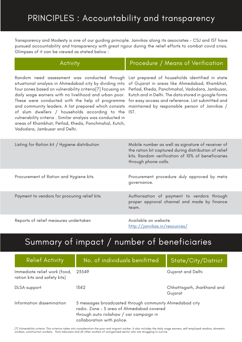# PRINCIPLES : Accountability and transparency

Transparency and Modesty is one of our guiding principle. Janvikas along its associates – CSJ and IST have pursued accountability and transparency with great rigour during the relief efforts to combat covid crisis. Glimpses of it can be viewed as stated below :

| <b>Activity</b>                                                                                                                                                                                                                                                                                                                                                                                                                                                                                                                                   | Procedure / Means of Verification                                                                                                                                                                                                                                                                                        |
|---------------------------------------------------------------------------------------------------------------------------------------------------------------------------------------------------------------------------------------------------------------------------------------------------------------------------------------------------------------------------------------------------------------------------------------------------------------------------------------------------------------------------------------------------|--------------------------------------------------------------------------------------------------------------------------------------------------------------------------------------------------------------------------------------------------------------------------------------------------------------------------|
| Random need assessment was conducted through<br>situational analysis in Ahmedabad city by dividing into<br>four zones based on vulnerability criteria[7] focusing on<br>daily wage earners with no livelihood and urban poor.<br>These were conducted with the help of programme<br>and community leaders. A list prepared which consists<br>of slum dwellers / households according to the<br>vulnerability criteria. Similar analysis was conducted in<br>areas of Khambhat, Petlad, Kheda, Panchmahal, Kutch,<br>Vadodara, Jambusar and Delhi. | List prepared of households identified in state<br>of Gujarat in areas like Ahmedabad, Khambhat,<br>Petlad, Kheda, Panchmahal, Vadodara, Jambusar,<br>Kutch and in Delhi. The data stored in google forms<br>for easy access and reference. List submitted and<br>maintained by responsible person of Janvikas /<br>IST. |
| Listing for Ration kit / Hygiene distribution                                                                                                                                                                                                                                                                                                                                                                                                                                                                                                     | Mobile number as well as signature of receiver of<br>the ration kit captured during distribution of relief<br>kits. Random verification of 10% of beneficiaries<br>through phone calls.                                                                                                                                  |
| Procurement of Ration and Hygiene kits                                                                                                                                                                                                                                                                                                                                                                                                                                                                                                            | Procurement procedure duly approved by meta<br>governance.                                                                                                                                                                                                                                                               |
| Payment to vendors for procuring relief kits                                                                                                                                                                                                                                                                                                                                                                                                                                                                                                      | Authorisation of payment to vendors through<br>proper approval channel and made by finance<br>team.                                                                                                                                                                                                                      |
| Reports of relief measures undertaken                                                                                                                                                                                                                                                                                                                                                                                                                                                                                                             | Available on website<br>http://janvikas.in/resources/                                                                                                                                                                                                                                                                    |

# Summary of impact / number of beneficiaries

| <b>Relief Activity</b>                                       | No. of individuals benifitted                                                                                                                                                 | <b>State/City/District</b>             |
|--------------------------------------------------------------|-------------------------------------------------------------------------------------------------------------------------------------------------------------------------------|----------------------------------------|
| Immediate relief work (food,<br>ration kits and safety kits) | 23549                                                                                                                                                                         | Gujarat and Delhi                      |
| DLSA support                                                 | 1342                                                                                                                                                                          | Chhattisgarh, Jharkhand and<br>Gujarat |
| Information dissemination                                    | 5 messages broadcasted through community Ahmedabad city<br>radio. Zone - 5 area of Ahmedabad covered<br>through auto rickshaw / car campaign in<br>collaboration with police. |                                        |

[7] Vulnerability criteria: This criterion takes into consideration the poor and migrant worker. It also includes the daily wage earners, self-employed vendors, domestic workers, construction workers, farm labourers and all other workers of unorganised sector who are struggling to survive.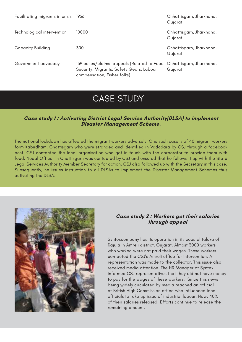| Facilitating migrants in crisis | 1966                                                                                                                                          | Chhattisgarh, Jharkhand,<br>Gujarat |
|---------------------------------|-----------------------------------------------------------------------------------------------------------------------------------------------|-------------------------------------|
| Technological intervention      | 10000                                                                                                                                         | Chhattisgarh, Jharkhand,<br>Gujarat |
| <b>Capacity Building</b>        | 300                                                                                                                                           | Chhattisgarh, Jharkhand,<br>Gujarat |
| Government advocacy             | 139 cases/claims appeals (Related to Food Chhattisgarh, Jharkhand,<br>Security, Migrants, Safety Gears, Labour<br>compensation, Fisher folks) | Gujarat                             |

## CASE STUDY

#### **Case study 1 : Activating District Legal Service Authority(DLSA) to implement Disaster Management Scheme.**

The national lockdown has affected the migrant workers adversely. One such case is of 40 migrant workers form Kabirdham, Chattisgarh who were stranded and identified in Vadodara by CSJ through a facebook post. CSJ contacted the local organisation who got in touch with the corporator to provide them with food. Nodal Officer in Chattisgarh was contacted by CSJ and ensured that he follows it up with the State Legal Services Authority Member Secretary for action. CSJ also followed up with the Secretary in this case. Subsequently, he issues instruction to all DLSAs to implement the Disaster Management Schemes thus activating the DLSA.



#### **Case study 2 : Workers get their salaries through appeal**

Syntexcompany has its operation in its coastal taluka of Rajula in Amreli district, Gujarat. Almost 3000 workers who worked were not paid their wages. These workers contacted the CSJ's Amreli office for intervention. A representation was made to the collector. This issue also received media attention. The HR Manager of Syntex informed CSJ representatives that they did not have money to pay for the wages of these workers. Since this news being widely circulated by media reached an official at British High Commission office who influenced local officials to take up issue of industrial labour. Now, 40% of their salaries released. Efforts continue to release the remaining amount.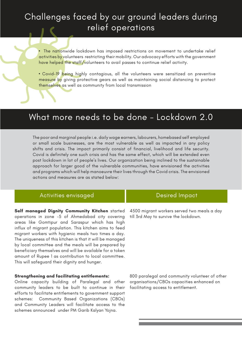# Challenges faced by our ground leaders during relief operations

**•** The nationwide lockdown has imposed restrictions on movement to undertake relief activities by volunteers restricting their mobility. Our advocacy efforts with the government have helped the staff/volunteers to avail passes to continue relief activity.

**•** Covid-19 being highly contagious, all the volunteers were sensitized on preventive measure by giving protective gears as well as maintaining social distancing to protect themselves as well as community from local transmission

### What more needs to be done - Lockdown 2.0

The poor and marginal people i.e. daily wage earners, labourers, homebased self employed or small scale businesses, are the most vulnerable as well as impacted in any policy shifts and crisis. The impact primarily consist of financial, livelihood and life security. Covid is definitely one such crisis and has the same effect, which will be extended even post lockdown in lot of people's lives. Our organization being inclined to the sustainable approach for larger good of the vulnerable communities, have envisioned the activities and programs which will help manoeuvre their lives through the Covid crisis. The envisioned actions and measures are as stated below:

#### Activities envisaged and Desired Impact

**Self managed Dignity Community Kitchen** started operations in zone -5 of Ahmedabad city covering areas like Gomtipur and Saraspur which has high influx of migrant population. This kitchen aims to feed migrant workers with hygienic meals two times a day. The uniqueness of this kitchen is that it will be managed by local committee and the meals will be prepared by beneficiary themselves and will be available for a token amount of Rupee 1 as contribution to local committee. This will safeguard their dignity and hunger.

#### **Strengthening and facilitating entitlements:**

Online capacity building of Paralegal and other community leaders to be built to continue in their efforts to facilitate entitlements to government support schemes: Community Based Organizations (CBOs) and Community Leaders will facilitate access to the schemes announced under PM Garib Kalyan Yojna.

4500 migrant workers served two meals a day till 3rd May to survive the lockdown.

800 paralegal and community volunteer of other organisations/CBOs capacities enhanced on facilitating access to entitlement.